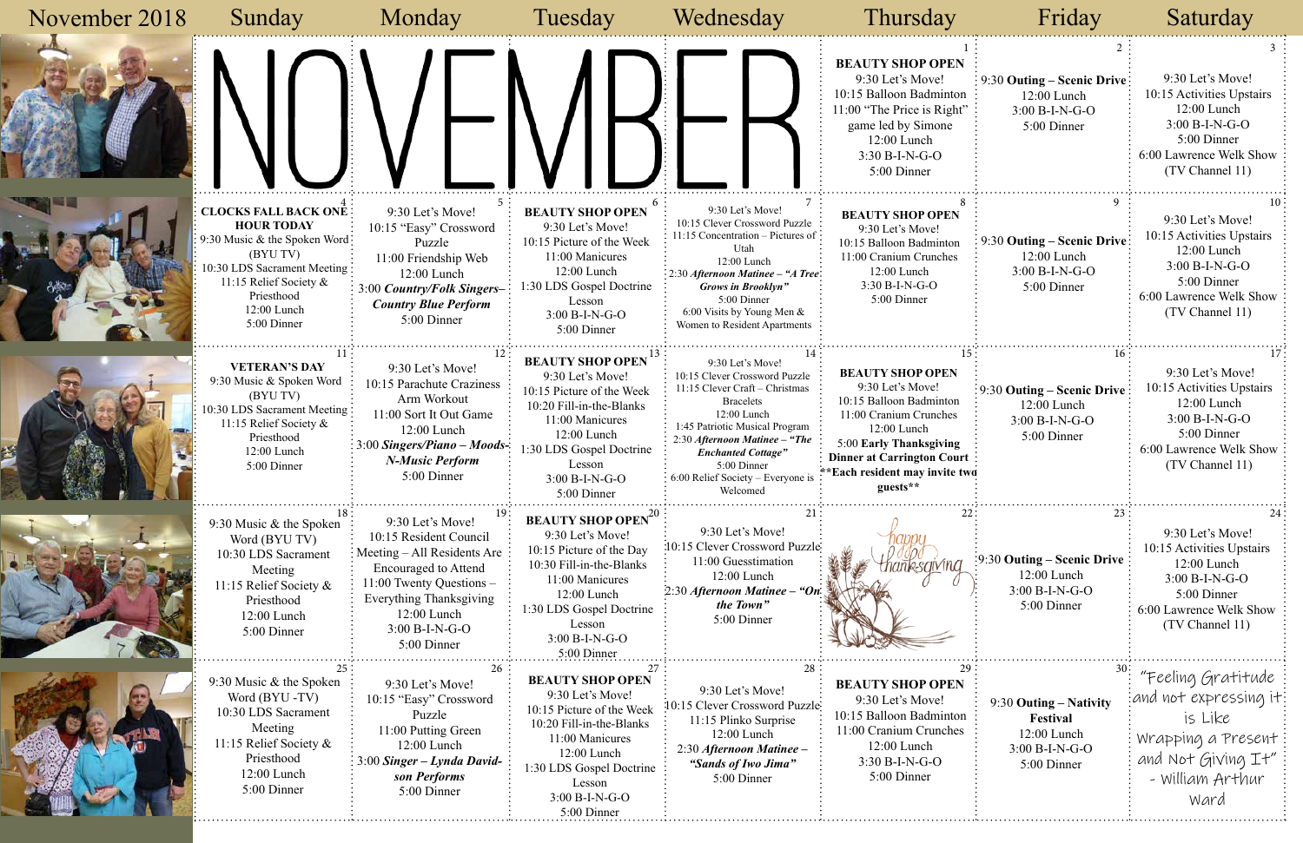| November 2018 | Sunday                                                                                                                                                                                               | Monday                                                                                                                                                                                                            | Tuesday                                                                                                                                                                                                                     | Wednesday                                                                                                                                                                                                                                                                              | Thursday                                                                                                                                                                                                               | Friday                                                                                                         | Saturday                                                                                                                                        |
|---------------|------------------------------------------------------------------------------------------------------------------------------------------------------------------------------------------------------|-------------------------------------------------------------------------------------------------------------------------------------------------------------------------------------------------------------------|-----------------------------------------------------------------------------------------------------------------------------------------------------------------------------------------------------------------------------|----------------------------------------------------------------------------------------------------------------------------------------------------------------------------------------------------------------------------------------------------------------------------------------|------------------------------------------------------------------------------------------------------------------------------------------------------------------------------------------------------------------------|----------------------------------------------------------------------------------------------------------------|-------------------------------------------------------------------------------------------------------------------------------------------------|
|               |                                                                                                                                                                                                      |                                                                                                                                                                                                                   |                                                                                                                                                                                                                             |                                                                                                                                                                                                                                                                                        | <b>BEAUTY SHOP OPEN</b><br>9:30 Let's Move!<br>10:15 Balloon Badminton<br>11:00 "The Price is Right"<br>game led by Simone<br>12:00 Lunch<br>$3:30 B-I-N-G-O$<br>5:00 Dinner                                           | $\frac{1}{2}$ 9:30 Outing – Scenic Drive:<br>$12:00$ Lunch<br>3:00 B-I-N-G-O<br>5:00 Dinner                    | 9:30 Let's Move!<br>10:15 Activities Upstairs<br>$12:00$ Lunch<br>$3:00 B-I-N-G-O$<br>5:00 Dinner<br>6:00 Lawrence Welk Show<br>(TV Channel 11) |
|               | <b>CLOCKS FALL BACK ONE:</b><br><b>HOUR TODAY</b><br>9:30 Music & the Spoken Word:<br>(BYU TV)<br>10:30 LDS Sacrament Meeting:<br>11:15 Relief Society &<br>Priesthood<br>12:00 Lunch<br>5:00 Dinner | 9:30 Let's Move!<br>10:15 "Easy" Crossword<br>Puzzle<br>11:00 Friendship Web<br>12:00 Lunch<br>3:00 Country/Folk Singers-<br><b>Country Blue Perform</b><br>5:00 Dinner                                           | <b>BEAUTY SHOP OPEN</b><br>9:30 Let's Move!<br>10:15 Picture of the Week<br>11:00 Manicures<br>12:00 Lunch<br>1:30 LDS Gospel Doctrine<br>Lesson<br>$3:00 B-I-N-G-O$<br>5:00 Dinner                                         | 9:30 Let's Move!<br>10:15 Clever Crossword Puzzle<br>11:15 Concentration – Pictures of $\frac{1}{2}$<br>Utah<br>12:00 Lunch<br>2:30 Afternoon Matinee - "A Tree":<br>Grows in Brooklyn"<br>5:00 Dinner<br>6:00 Visits by Young Men &<br>Women to Resident Apartments                   | <b>BEAUTY SHOP OPEN</b><br>9:30 Let's Move!<br>10:15 Balloon Badminton<br>11:00 Cranium Crunches<br>12:00 Lunch<br>$3:30 B-I-N-G-O$<br>5:00 Dinner                                                                     | 9:30 Outing – Scenic Drive:<br>12:00 Lunch<br>$3:00 B-I-N-G-O$<br>5:00 Dinner                                  | 9:30 Let's Move!<br>10:15 Activities Upstairs<br>$12:00$ Lunch<br>3:00 B-I-N-G-O<br>5:00 Dinner<br>6:00 Lawrence Welk Show<br>(TV Channel 11)   |
|               | <b>VETERAN'S DAY</b><br>9:30 Music & Spoken Word<br>(BYU TV)<br>10:30 LDS Sacrament Meeting:<br>11:15 Relief Society &<br>Priesthood<br>12:00 Lunch<br>5:00 Dinner                                   | 9:30 Let's Move!<br>10:15 Parachute Craziness<br>Arm Workout<br>11:00 Sort It Out Game<br>12:00 Lunch<br>$\therefore$ 3:00 Singers/Piano – Moods-<br><b>N-Music Perform</b><br>5:00 Dinner                        | <b>BEAUTY SHOP OPEN</b><br>9:30 Let's Move!<br>10:15 Picture of the Week<br>10:20 Fill-in-the-Blanks<br>11:00 Manicures<br>12:00 Lunch<br>1:30 LDS Gospel Doctrine<br>Lesson<br>$3:00 B-I-N-G-O$<br>5:00 Dinner             | 9:30 Let's Move!<br>10:15 Clever Crossword Puzzle<br>11:15 Clever Craft - Christmas<br><b>Bracelets</b><br>12:00 Lunch<br>1:45 Patriotic Musical Program<br>2:30 Afternoon Matinee - "The<br><b>Enchanted Cottage"</b><br>5:00 Dinner<br>6:00 Relief Society - Everyone is<br>Welcomed | <b>BEAUTY SHOP OPEN</b><br>9:30 Let's Move!<br>10:15 Balloon Badminton<br>11:00 Cranium Crunches<br>12:00 Lunch<br>5:00 Early Thanksgiving<br>Dinner at Carrington Court<br>**Each resident may invite two<br>guests** | 16:<br>$\frac{1}{2}$ 9:30 Outing – Scenic Drive<br>12:00 Lunch<br>$3:00 B-I-N-G-O$<br>5:00 Dinner              | 9:30 Let's Move!<br>10:15 Activities Upstairs<br>12:00 Lunch<br>$3:00 B-I-N-G-O$<br>5:00 Dinner<br>6:00 Lawrence Welk Show<br>(TV Channel 11)   |
|               | 9:30 Music $&$ the Spoken<br>Word (BYU TV)<br>10:30 LDS Sacrament<br>Meeting<br>11:15 Relief Society &<br>Priesthood<br>12:00 Lunch<br>5:00 Dinner                                                   | 9:30 Let's Move!<br>10:15 Resident Council<br>Meeting – All Residents Are<br><b>Encouraged to Attend</b><br>11:00 Twenty Questions -<br>Everything Thanksgiving<br>12:00 Lunch<br>$3:00 B-I-N-G-O$<br>5:00 Dinner | <b>BEAUTY SHOP OPEN<sup>20</sup></b><br>9:30 Let's Move!<br>10:15 Picture of the Day<br>10:30 Fill-in-the-Blanks<br>11:00 Manicures<br>12:00 Lunch<br>1:30 LDS Gospel Doctrine<br>Lesson<br>$3:00 B-I-N-G-O$<br>5:00 Dinner | 9:30 Let's Move!<br>10:15 Clever Crossword Puzzle<br>11:00 Guesstimation<br>12:00 Lunch<br>2:30 Afternoon Matinee – "On<br>the Town"<br>5:00 Dinner                                                                                                                                    | ksaivina                                                                                                                                                                                                               | 23<br>$\frac{1}{2}$ 9:30 Outing – Scenic Drive $\frac{1}{2}$<br>12:00 Lunch<br>$3:00 B-I-N-G-O$<br>5:00 Dinner | 9:30 Let's Move!<br>10:15 Activities Upstairs<br>12:00 Lunch<br>$3:00 B-I-N-G-O$<br>5:00 Dinner<br>6:00 Lawrence Welk Show<br>(TV Channel 11)   |
|               | 9:30 Music $&$ the Spoken<br>Word (BYU-TV)<br>10:30 LDS Sacrament<br>Meeting<br>11:15 Relief Society $\&$<br>Priesthood<br>12:00 Lunch<br>5:00 Dinner                                                | 26<br>9:30 Let's Move!<br>10:15 "Easy" Crossword<br>Puzzle<br>11:00 Putting Green<br>12:00 Lunch<br>$3:00$ Singer – Lynda David-<br>son Performs<br>5:00 Dinner                                                   | <b>BEAUTY SHOP OPEN</b><br>9:30 Let's Move!<br>10:15 Picture of the Week<br>10:20 Fill-in-the-Blanks<br>11:00 Manicures<br>12:00 Lunch<br>1:30 LDS Gospel Doctrine<br>Lesson<br>3:00 B-I-N-G-O<br>5:00 Dinner               | 9:30 Let's Move!<br>10:15 Clever Crossword Puzzle:<br>11:15 Plinko Surprise<br>12:00 Lunch<br>2:30 Afternoon Matinee -<br>"Sands of Iwo Jima"<br>5:00 Dinner                                                                                                                           | <b>BEAUTY SHOP OPEN</b><br>9:30 Let's Move!<br>10:15 Balloon Badminton<br>11:00 Cranium Crunches<br>$12:00$ Lunch<br>$3:30 B-I-N-G-O$<br>5:00 Dinner                                                                   | 9:30 Outing – Nativity<br>Festival<br>12:00 Lunch<br>3:00 B-I-N-G-O<br>5:00 Dinner                             | "Feeling Gratitude<br>and not expressing it<br>is Like<br>Wrapping a Present<br>and Not Giving It"<br>- William Arthur<br>Ward                  |

# Tuesday Monday Saturday

| 1<br>N                          | 2                                                                                                  | 3                                                                                                                                                     |
|---------------------------------|----------------------------------------------------------------------------------------------------|-------------------------------------------------------------------------------------------------------------------------------------------------------|
| on<br>ht"                       | 9:30 Outing – Scenic Drive<br>12:00 Lunch<br>$3:00 B-I-N-G-O$<br>5:00 Dinner                       | 9:30 Let's Move!<br>10:15 Activities Upstairs<br>12:00 Lunch<br>$3:00 B-I-N-G-O$<br>5:00 Dinner<br>6:00 Lawrence Welk Show<br>(TV Channel 11)         |
| 8<br>n<br>S                     | 9<br>9:30 Outing – Scenic Drive<br>12:00 Lunch<br>3:00 B-I-N-G-O<br>5:00 Dinner                    | 10<br>9:30 Let's Move!<br>10:15 Activities Upstairs<br>12:00 Lunch<br>$3:00 B-I-N-G-O$<br>5:00 Dinner<br>6:00 Lawrence Welk Show<br>(TV Channel 11)   |
| 15<br>n<br>Ŝ<br>g<br>urt<br>two | 16<br>9:30 Outing – Scenic Drive<br>12:00 Lunch<br>3:00 B-I-N-G-O<br>5:00 Dinner                   | 17<br>9:30 Let's Move!<br>10:15 Activities Upstairs<br>12:00 Lunch<br>3:00 B-I-N-G-O<br>5:00 Dinner<br>6:00 Lawrence Welk Show<br>(TV Channel 11)     |
| 22                              | 23<br>9:30 Outing – Scenic Drive<br>$12:00$ Lunch<br>$3:00 B-I-N-G-O$<br>5:00 Dinner               | 24<br>9:30 Let's Move!<br>10:15 Activities Upstairs<br>$12:00$ Lunch<br>$3:00 B-I-N-G-O$<br>5:00 Dinner<br>6:00 Lawrence Welk Show<br>(TV Channel 11) |
| 29<br>N<br>on<br>es             | 30:<br>9:30 Outing – Nativity<br><b>Festival</b><br>12:00 Lunch<br>$3:00 B-I-N-G-O$<br>5:00 Dinner | "Feeling Gratitude<br>and not expressing it<br>is Like<br>Wrapping a Present<br>and Not Giving It"<br>- William Arthur<br>Ward                        |